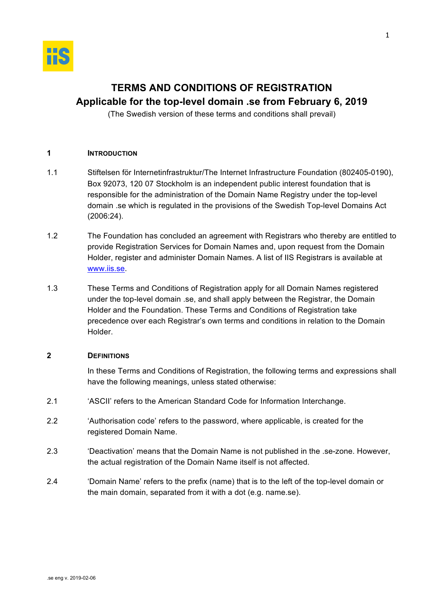

# **TERMS AND CONDITIONS OF REGISTRATION**

# **Applicable for the top-level domain .se from February 6, 2019**

(The Swedish version of these terms and conditions shall prevail)

# **1 INTRODUCTION**

- 1.1 Stiftelsen för Internetinfrastruktur/The Internet Infrastructure Foundation (802405-0190), Box 92073, 120 07 Stockholm is an independent public interest foundation that is responsible for the administration of the Domain Name Registry under the top-level domain .se which is regulated in the provisions of the Swedish Top-level Domains Act (2006:24).
- 1.2 The Foundation has concluded an agreement with Registrars who thereby are entitled to provide Registration Services for Domain Names and, upon request from the Domain Holder, register and administer Domain Names. A list of IIS Registrars is available at www.iis.se.
- 1.3 These Terms and Conditions of Registration apply for all Domain Names registered under the top-level domain .se, and shall apply between the Registrar, the Domain Holder and the Foundation. These Terms and Conditions of Registration take precedence over each Registrar's own terms and conditions in relation to the Domain Holder.

# **2 DEFINITIONS**

In these Terms and Conditions of Registration, the following terms and expressions shall have the following meanings, unless stated otherwise:

- 2.1 'ASCII' refers to the American Standard Code for Information Interchange.
- 2.2 'Authorisation code' refers to the password, where applicable, is created for the registered Domain Name.
- 2.3 'Deactivation' means that the Domain Name is not published in the .se-zone. However, the actual registration of the Domain Name itself is not affected.
- 2.4 'Domain Name' refers to the prefix (name) that is to the left of the top-level domain or the main domain, separated from it with a dot (e.g. name.se).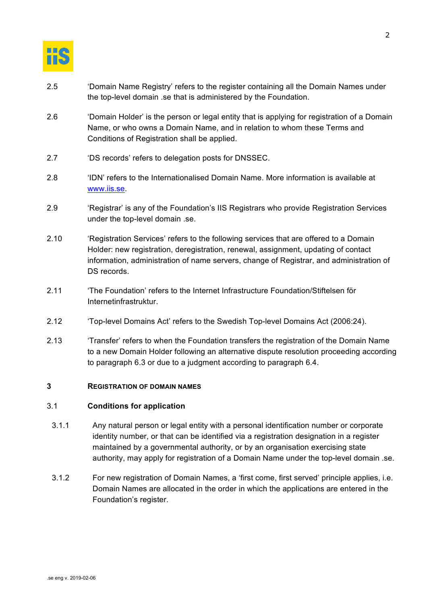

- 2.5 'Domain Name Registry' refers to the register containing all the Domain Names under the top-level domain .se that is administered by the Foundation.
- 2.6 'Domain Holder' is the person or legal entity that is applying for registration of a Domain Name, or who owns a Domain Name, and in relation to whom these Terms and Conditions of Registration shall be applied.
- 2.7 'DS records' refers to delegation posts for DNSSEC.
- 2.8 'IDN' refers to the Internationalised Domain Name. More information is available at www.iis.se.
- 2.9 'Registrar' is any of the Foundation's IIS Registrars who provide Registration Services under the top-level domain .se.
- 2.10 'Registration Services' refers to the following services that are offered to a Domain Holder: new registration, deregistration, renewal, assignment, updating of contact information, administration of name servers, change of Registrar, and administration of DS records.
- 2.11 'The Foundation' refers to the Internet Infrastructure Foundation/Stiftelsen för Internetinfrastruktur.
- 2.12 'Top-level Domains Act' refers to the Swedish Top-level Domains Act (2006:24).
- 2.13 'Transfer' refers to when the Foundation transfers the registration of the Domain Name to a new Domain Holder following an alternative dispute resolution proceeding according to paragraph 6.3 or due to a judgment according to paragraph 6.4.

# **3 REGISTRATION OF DOMAIN NAMES**

#### 3.1 **Conditions for application**

- 3.1.1 Any natural person or legal entity with a personal identification number or corporate identity number, or that can be identified via a registration designation in a register maintained by a governmental authority, or by an organisation exercising state authority, may apply for registration of a Domain Name under the top-level domain .se.
- 3.1.2 For new registration of Domain Names, a 'first come, first served' principle applies, i.e. Domain Names are allocated in the order in which the applications are entered in the Foundation's register.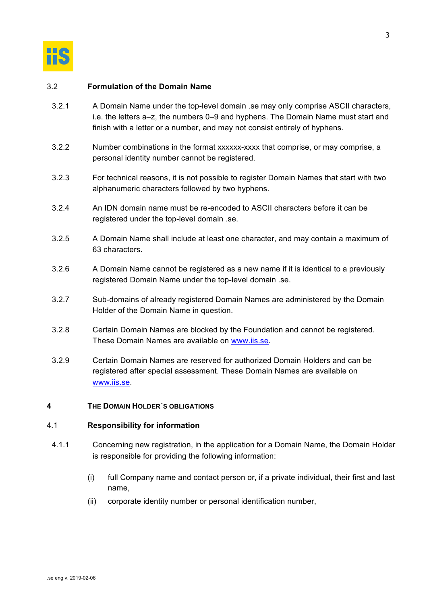

# 3.2 **Formulation of the Domain Name**

- 3.2.1 A Domain Name under the top-level domain .se may only comprise ASCII characters, i.e. the letters a–z, the numbers 0–9 and hyphens. The Domain Name must start and finish with a letter or a number, and may not consist entirely of hyphens.
- 3.2.2 Number combinations in the format xxxxxx-xxxx that comprise, or may comprise, a personal identity number cannot be registered.
- 3.2.3 For technical reasons, it is not possible to register Domain Names that start with two alphanumeric characters followed by two hyphens.
- 3.2.4 An IDN domain name must be re-encoded to ASCII characters before it can be registered under the top-level domain .se.
- 3.2.5 A Domain Name shall include at least one character, and may contain a maximum of 63 characters.
- 3.2.6 A Domain Name cannot be registered as a new name if it is identical to a previously registered Domain Name under the top-level domain .se.
- 3.2.7 Sub-domains of already registered Domain Names are administered by the Domain Holder of the Domain Name in question.
- 3.2.8 Certain Domain Names are blocked by the Foundation and cannot be registered. These Domain Names are available on www.iis.se.
- 3.2.9 Certain Domain Names are reserved for authorized Domain Holders and can be registered after special assessment. These Domain Names are available on www.iis.se.

# **4 THE DOMAIN HOLDER´S OBLIGATIONS**

#### 4.1 **Responsibility for information**

- 4.1.1 Concerning new registration, in the application for a Domain Name, the Domain Holder is responsible for providing the following information:
	- (i) full Company name and contact person or, if a private individual, their first and last name,
	- (ii) corporate identity number or personal identification number,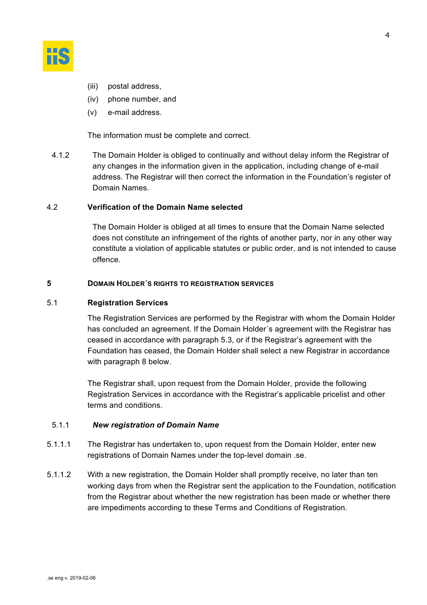

- (iii) postal address,
- (iv) phone number, and
- (v) e-mail address.

The information must be complete and correct.

4.1.2 The Domain Holder is obliged to continually and without delay inform the Registrar of any changes in the information given in the application, including change of e-mail address. The Registrar will then correct the information in the Foundation's register of Domain Names.

# 4.2 **Verification of the Domain Name selected**

The Domain Holder is obliged at all times to ensure that the Domain Name selected does not constitute an infringement of the rights of another party, nor in any other way constitute a violation of applicable statutes or public order, and is not intended to cause offence.

#### **5 DOMAIN HOLDER´S RIGHTS TO REGISTRATION SERVICES**

#### 5.1 **Registration Services**

The Registration Services are performed by the Registrar with whom the Domain Holder has concluded an agreement. If the Domain Holder´s agreement with the Registrar has ceased in accordance with paragraph 5.3, or if the Registrar's agreement with the Foundation has ceased, the Domain Holder shall select a new Registrar in accordance with paragraph 8 below.

The Registrar shall, upon request from the Domain Holder, provide the following Registration Services in accordance with the Registrar's applicable pricelist and other terms and conditions.

#### 5.1.1 *New registration of Domain Name*

- 5.1.1.1 The Registrar has undertaken to, upon request from the Domain Holder, enter new registrations of Domain Names under the top-level domain .se.
- 5.1.1.2 With a new registration, the Domain Holder shall promptly receive, no later than ten working days from when the Registrar sent the application to the Foundation, notification from the Registrar about whether the new registration has been made or whether there are impediments according to these Terms and Conditions of Registration.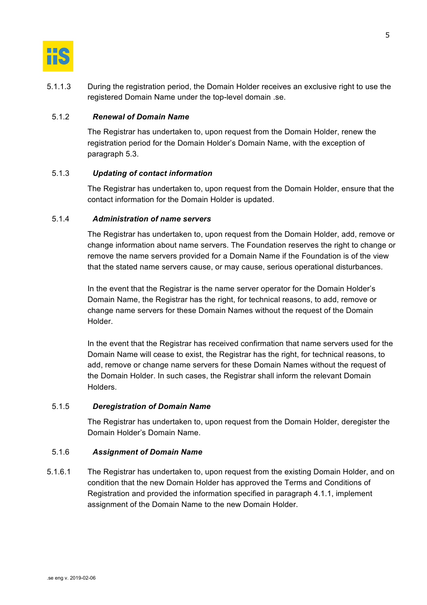

5.1.1.3 During the registration period, the Domain Holder receives an exclusive right to use the registered Domain Name under the top-level domain .se.

#### 5.1.2 *Renewal of Domain Name*

The Registrar has undertaken to, upon request from the Domain Holder, renew the registration period for the Domain Holder's Domain Name, with the exception of paragraph 5.3.

# 5.1.3 *Updating of contact information*

The Registrar has undertaken to, upon request from the Domain Holder, ensure that the contact information for the Domain Holder is updated.

# 5.1.4 *Administration of name servers*

The Registrar has undertaken to, upon request from the Domain Holder, add, remove or change information about name servers. The Foundation reserves the right to change or remove the name servers provided for a Domain Name if the Foundation is of the view that the stated name servers cause, or may cause, serious operational disturbances.

In the event that the Registrar is the name server operator for the Domain Holder's Domain Name, the Registrar has the right, for technical reasons, to add, remove or change name servers for these Domain Names without the request of the Domain Holder.

In the event that the Registrar has received confirmation that name servers used for the Domain Name will cease to exist, the Registrar has the right, for technical reasons, to add, remove or change name servers for these Domain Names without the request of the Domain Holder. In such cases, the Registrar shall inform the relevant Domain Holders.

#### 5.1.5 *Deregistration of Domain Name*

The Registrar has undertaken to, upon request from the Domain Holder, deregister the Domain Holder's Domain Name.

#### 5.1.6 *Assignment of Domain Name*

5.1.6.1 The Registrar has undertaken to, upon request from the existing Domain Holder, and on condition that the new Domain Holder has approved the Terms and Conditions of Registration and provided the information specified in paragraph 4.1.1, implement assignment of the Domain Name to the new Domain Holder.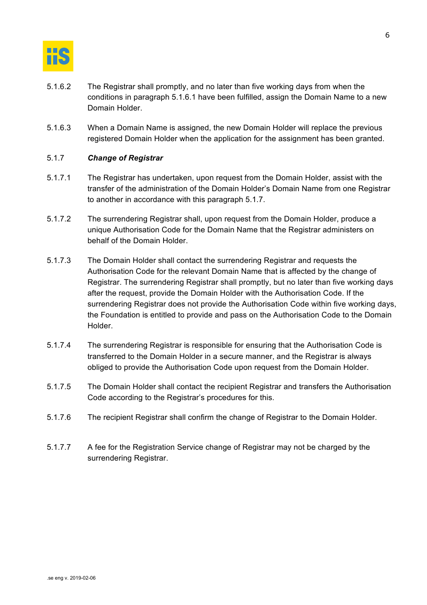

- 5.1.6.2 The Registrar shall promptly, and no later than five working days from when the conditions in paragraph 5.1.6.1 have been fulfilled, assign the Domain Name to a new Domain Holder.
- 5.1.6.3 When a Domain Name is assigned, the new Domain Holder will replace the previous registered Domain Holder when the application for the assignment has been granted.

# 5.1.7 *Change of Registrar*

- 5.1.7.1 The Registrar has undertaken, upon request from the Domain Holder, assist with the transfer of the administration of the Domain Holder's Domain Name from one Registrar to another in accordance with this paragraph 5.1.7.
- 5.1.7.2 The surrendering Registrar shall, upon request from the Domain Holder, produce a unique Authorisation Code for the Domain Name that the Registrar administers on behalf of the Domain Holder.
- 5.1.7.3 The Domain Holder shall contact the surrendering Registrar and requests the Authorisation Code for the relevant Domain Name that is affected by the change of Registrar. The surrendering Registrar shall promptly, but no later than five working days after the request, provide the Domain Holder with the Authorisation Code. If the surrendering Registrar does not provide the Authorisation Code within five working days, the Foundation is entitled to provide and pass on the Authorisation Code to the Domain Holder.
- 5.1.7.4 The surrendering Registrar is responsible for ensuring that the Authorisation Code is transferred to the Domain Holder in a secure manner, and the Registrar is always obliged to provide the Authorisation Code upon request from the Domain Holder.
- 5.1.7.5 The Domain Holder shall contact the recipient Registrar and transfers the Authorisation Code according to the Registrar's procedures for this.
- 5.1.7.6 The recipient Registrar shall confirm the change of Registrar to the Domain Holder.
- 5.1.7.7 A fee for the Registration Service change of Registrar may not be charged by the surrendering Registrar.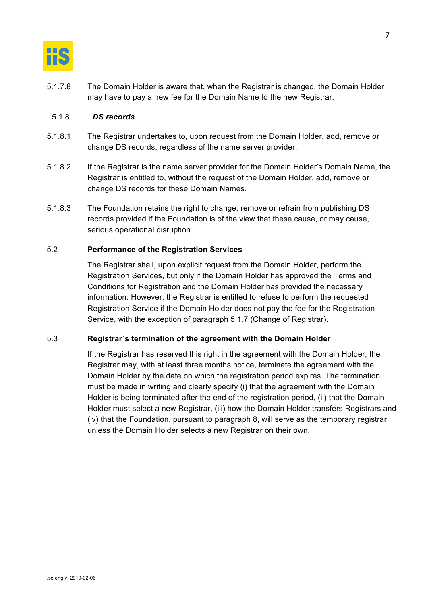

5.1.7.8 The Domain Holder is aware that, when the Registrar is changed, the Domain Holder may have to pay a new fee for the Domain Name to the new Registrar.

#### 5.1.8 *DS records*

- 5.1.8.1 The Registrar undertakes to, upon request from the Domain Holder, add, remove or change DS records, regardless of the name server provider.
- 5.1.8.2 If the Registrar is the name server provider for the Domain Holder's Domain Name, the Registrar is entitled to, without the request of the Domain Holder, add, remove or change DS records for these Domain Names.
- 5.1.8.3 The Foundation retains the right to change, remove or refrain from publishing DS records provided if the Foundation is of the view that these cause, or may cause, serious operational disruption.

# 5.2 **Performance of the Registration Services**

The Registrar shall, upon explicit request from the Domain Holder, perform the Registration Services, but only if the Domain Holder has approved the Terms and Conditions for Registration and the Domain Holder has provided the necessary information. However, the Registrar is entitled to refuse to perform the requested Registration Service if the Domain Holder does not pay the fee for the Registration Service, with the exception of paragraph 5.1.7 (Change of Registrar).

#### 5.3 **Registrar´s termination of the agreement with the Domain Holder**

If the Registrar has reserved this right in the agreement with the Domain Holder, the Registrar may, with at least three months notice, terminate the agreement with the Domain Holder by the date on which the registration period expires. The termination must be made in writing and clearly specify (i) that the agreement with the Domain Holder is being terminated after the end of the registration period, (ii) that the Domain Holder must select a new Registrar, (iii) how the Domain Holder transfers Registrars and (iv) that the Foundation, pursuant to paragraph 8, will serve as the temporary registrar unless the Domain Holder selects a new Registrar on their own.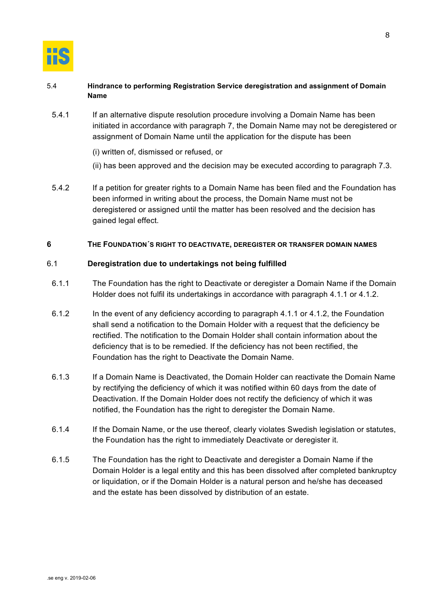

# 5.4 **Hindrance to performing Registration Service deregistration and assignment of Domain Name**

- 5.4.1 If an alternative dispute resolution procedure involving a Domain Name has been initiated in accordance with paragraph 7, the Domain Name may not be deregistered or assignment of Domain Name until the application for the dispute has been
	- (i) written of, dismissed or refused, or
	- (ii) has been approved and the decision may be executed according to paragraph 7.3.
- 5.4.2 If a petition for greater rights to a Domain Name has been filed and the Foundation has been informed in writing about the process, the Domain Name must not be deregistered or assigned until the matter has been resolved and the decision has gained legal effect.

#### **6 THE FOUNDATION´S RIGHT TO DEACTIVATE, DEREGISTER OR TRANSFER DOMAIN NAMES**

# 6.1 **Deregistration due to undertakings not being fulfilled**

- 6.1.1 The Foundation has the right to Deactivate or deregister a Domain Name if the Domain Holder does not fulfil its undertakings in accordance with paragraph 4.1.1 or 4.1.2.
- 6.1.2 In the event of any deficiency according to paragraph 4.1.1 or 4.1.2, the Foundation shall send a notification to the Domain Holder with a request that the deficiency be rectified. The notification to the Domain Holder shall contain information about the deficiency that is to be remedied. If the deficiency has not been rectified, the Foundation has the right to Deactivate the Domain Name.
- 6.1.3 If a Domain Name is Deactivated, the Domain Holder can reactivate the Domain Name by rectifying the deficiency of which it was notified within 60 days from the date of Deactivation. If the Domain Holder does not rectify the deficiency of which it was notified, the Foundation has the right to deregister the Domain Name.
- 6.1.4 If the Domain Name, or the use thereof, clearly violates Swedish legislation or statutes, the Foundation has the right to immediately Deactivate or deregister it.
- 6.1.5 The Foundation has the right to Deactivate and deregister a Domain Name if the Domain Holder is a legal entity and this has been dissolved after completed bankruptcy or liquidation, or if the Domain Holder is a natural person and he/she has deceased and the estate has been dissolved by distribution of an estate.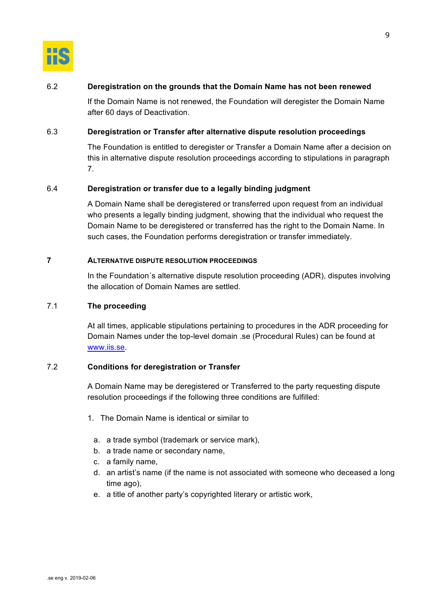

# 6.2 **Deregistration on the grounds that the Domain Name has not been renewed**

If the Domain Name is not renewed, the Foundation will deregister the Domain Name after 60 days of Deactivation.

#### 6.3 **Deregistration or Transfer after alternative dispute resolution proceedings**

The Foundation is entitled to deregister or Transfer a Domain Name after a decision on this in alternative dispute resolution proceedings according to stipulations in paragraph 7.

# 6.4 **Deregistration or transfer due to a legally binding judgment**

A Domain Name shall be deregistered or transferred upon request from an individual who presents a legally binding judgment, showing that the individual who request the Domain Name to be deregistered or transferred has the right to the Domain Name. In such cases, the Foundation performs deregistration or transfer immediately.

#### **7 ALTERNATIVE DISPUTE RESOLUTION PROCEEDINGS**

In the Foundation´s alternative dispute resolution proceeding (ADR), disputes involving the allocation of Domain Names are settled.

# 7.1 **The proceeding**

At all times, applicable stipulations pertaining to procedures in the ADR proceeding for Domain Names under the top-level domain .se (Procedural Rules) can be found at www.iis.se.

# 7.2 **Conditions for deregistration or Transfer**

A Domain Name may be deregistered or Transferred to the party requesting dispute resolution proceedings if the following three conditions are fulfilled:

- 1. The Domain Name is identical or similar to
	- a. a trade symbol (trademark or service mark),
	- b. a trade name or secondary name,
	- c. a family name,
	- d. an artist's name (if the name is not associated with someone who deceased a long time ago),
	- e. a title of another party's copyrighted literary or artistic work,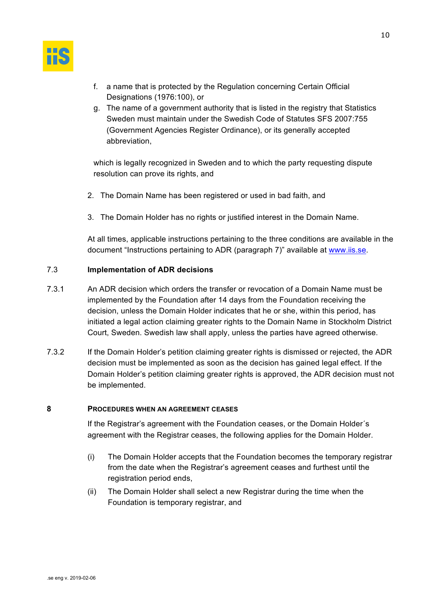

- f. a name that is protected by the Regulation concerning Certain Official Designations (1976:100), or
- g. The name of a government authority that is listed in the registry that Statistics Sweden must maintain under the Swedish Code of Statutes SFS 2007:755 (Government Agencies Register Ordinance), or its generally accepted abbreviation,

which is legally recognized in Sweden and to which the party requesting dispute resolution can prove its rights, and

- 2. The Domain Name has been registered or used in bad faith, and
- 3. The Domain Holder has no rights or justified interest in the Domain Name.

At all times, applicable instructions pertaining to the three conditions are available in the document "Instructions pertaining to ADR (paragraph 7)" available at www.iis.se.

# 7.3 **Implementation of ADR decisions**

- 7.3.1 An ADR decision which orders the transfer or revocation of a Domain Name must be implemented by the Foundation after 14 days from the Foundation receiving the decision, unless the Domain Holder indicates that he or she, within this period, has initiated a legal action claiming greater rights to the Domain Name in Stockholm District Court, Sweden. Swedish law shall apply, unless the parties have agreed otherwise.
- 7.3.2 If the Domain Holder's petition claiming greater rights is dismissed or rejected, the ADR decision must be implemented as soon as the decision has gained legal effect. If the Domain Holder's petition claiming greater rights is approved, the ADR decision must not be implemented.

#### **8 PROCEDURES WHEN AN AGREEMENT CEASES**

If the Registrar's agreement with the Foundation ceases, or the Domain Holder´s agreement with the Registrar ceases, the following applies for the Domain Holder.

- (i) The Domain Holder accepts that the Foundation becomes the temporary registrar from the date when the Registrar's agreement ceases and furthest until the registration period ends,
- (ii) The Domain Holder shall select a new Registrar during the time when the Foundation is temporary registrar, and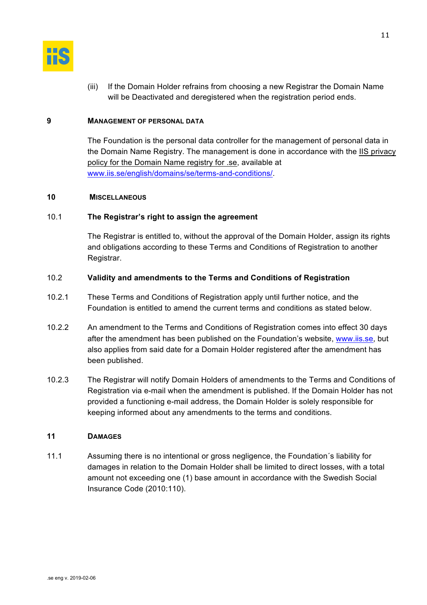

(iii) If the Domain Holder refrains from choosing a new Registrar the Domain Name will be Deactivated and deregistered when the registration period ends.

#### **9 MANAGEMENT OF PERSONAL DATA**

The Foundation is the personal data controller for the management of personal data in the Domain Name Registry. The management is done in accordance with the IIS privacy policy for the Domain Name registry for .se, available at www.iis.se/english/domains/se/terms-and-conditions/.

# **10 MISCELLANEOUS**

# 10.1 **The Registrar's right to assign the agreement**

The Registrar is entitled to, without the approval of the Domain Holder, assign its rights and obligations according to these Terms and Conditions of Registration to another Registrar.

# 10.2 **Validity and amendments to the Terms and Conditions of Registration**

- 10.2.1 These Terms and Conditions of Registration apply until further notice, and the Foundation is entitled to amend the current terms and conditions as stated below.
- 10.2.2 An amendment to the Terms and Conditions of Registration comes into effect 30 days after the amendment has been published on the Foundation's website, www.iis.se, but also applies from said date for a Domain Holder registered after the amendment has been published.
- 10.2.3 The Registrar will notify Domain Holders of amendments to the Terms and Conditions of Registration via e-mail when the amendment is published. If the Domain Holder has not provided a functioning e-mail address, the Domain Holder is solely responsible for keeping informed about any amendments to the terms and conditions.

# **11 DAMAGES**

11.1 Assuming there is no intentional or gross negligence, the Foundation´s liability for damages in relation to the Domain Holder shall be limited to direct losses, with a total amount not exceeding one (1) base amount in accordance with the Swedish Social Insurance Code (2010:110).